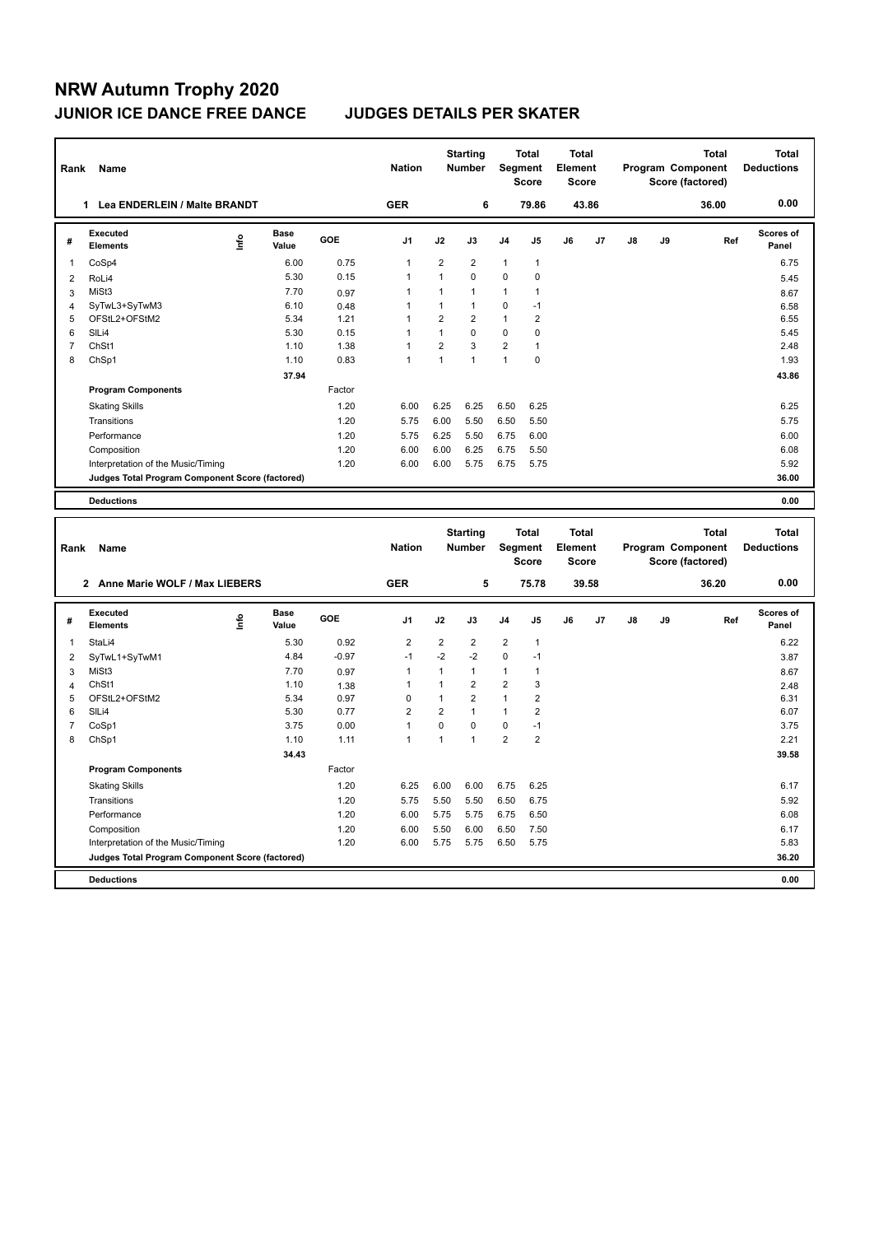# **NRW Autumn Trophy 2020 JUNIOR ICE DANCE FREE DANCE JUDGES DETAILS PER SKATER**

|                | Rank Name                                       |      |                      |              | <b>Nation</b>                |                              | <b>Starting</b><br>Number      |                              | <b>Total</b><br>Segment<br><b>Score</b> | <b>Total</b><br>Element<br><b>Score</b> |       |               |    | <b>Total</b><br>Program Component<br>Score (factored) |     | <b>Total</b><br><b>Deductions</b> |
|----------------|-------------------------------------------------|------|----------------------|--------------|------------------------------|------------------------------|--------------------------------|------------------------------|-----------------------------------------|-----------------------------------------|-------|---------------|----|-------------------------------------------------------|-----|-----------------------------------|
|                | 1 Lea ENDERLEIN / Malte BRANDT                  |      |                      |              | <b>GER</b>                   |                              | 6                              |                              | 79.86                                   |                                         | 43.86 |               |    | 36.00                                                 |     | 0.00                              |
| #              | Executed<br><b>Elements</b>                     | lnfo | <b>Base</b><br>Value | GOE          | J <sub>1</sub>               | J2                           | J3                             | J <sub>4</sub>               | J5                                      | J6                                      | J7    | $\mathsf{J}8$ | J9 |                                                       | Ref | <b>Scores of</b><br>Panel         |
| 1              | CoSp4                                           |      | 6.00                 | 0.75         | $\mathbf{1}$                 | $\overline{2}$               | $\overline{2}$                 | $\mathbf{1}$                 | 1                                       |                                         |       |               |    |                                                       |     | 6.75                              |
| $\overline{2}$ | RoLi4                                           |      | 5.30                 | 0.15         | $\mathbf{1}$                 | $\mathbf{1}$                 | 0                              | $\mathbf 0$                  | $\mathbf 0$                             |                                         |       |               |    |                                                       |     | 5.45                              |
| 3              | MiSt3                                           |      | 7.70                 | 0.97         | $\mathbf{1}$                 | $\mathbf{1}$                 | 1                              | $\mathbf{1}$                 | $\mathbf{1}$                            |                                         |       |               |    |                                                       |     | 8.67                              |
| $\overline{4}$ | SyTwL3+SyTwM3                                   |      | 6.10                 | 0.48         | $\mathbf{1}$                 | $\mathbf{1}$                 | $\mathbf{1}$                   | $\mathbf 0$                  | $-1$                                    |                                         |       |               |    |                                                       |     | 6.58                              |
| 5              | OFStL2+OFStM2                                   |      | 5.34                 | 1.21         | $\mathbf{1}$                 | $\overline{2}$               | $\overline{2}$                 | $\mathbf{1}$                 | $\overline{2}$                          |                                         |       |               |    |                                                       |     | 6.55                              |
| 6              | SILi4                                           |      | 5.30                 | 0.15         | $\overline{1}$               | $\mathbf{1}$                 | 0                              | $\mathbf 0$                  | 0                                       |                                         |       |               |    |                                                       |     | 5.45                              |
| $\overline{7}$ | ChSt1                                           |      | 1.10                 | 1.38         | $\mathbf{1}$                 | $\overline{2}$               | 3                              | $\boldsymbol{2}$             | $\mathbf{1}$                            |                                         |       |               |    |                                                       |     | 2.48                              |
| 8              | ChSp1                                           |      | 1.10                 | 0.83         | $\overline{1}$               | $\mathbf{1}$                 | $\mathbf{1}$                   | $\mathbf{1}$                 | $\pmb{0}$                               |                                         |       |               |    |                                                       |     | 1.93                              |
|                |                                                 |      | 37.94                |              |                              |                              |                                |                              |                                         |                                         |       |               |    |                                                       |     | 43.86                             |
|                | <b>Program Components</b>                       |      |                      | Factor       |                              |                              |                                |                              |                                         |                                         |       |               |    |                                                       |     |                                   |
|                | <b>Skating Skills</b>                           |      |                      | 1.20         | 6.00                         | 6.25                         | 6.25                           | 6.50                         | 6.25                                    |                                         |       |               |    |                                                       |     | 6.25                              |
|                | Transitions                                     |      |                      | 1.20         | 5.75                         | 6.00                         | 5.50                           | 6.50                         | 5.50                                    |                                         |       |               |    |                                                       |     | 5.75                              |
|                | Performance                                     |      |                      | 1.20         | 5.75                         | 6.25                         | 5.50                           | 6.75                         | 6.00                                    |                                         |       |               |    |                                                       |     | 6.00                              |
|                | Composition                                     |      |                      | 1.20         | 6.00                         | 6.00                         | 6.25                           | 6.75                         | 5.50                                    |                                         |       |               |    |                                                       |     | 6.08                              |
|                | Interpretation of the Music/Timing              |      |                      | 1.20         | 6.00                         | 6.00                         | 5.75                           | 6.75                         | 5.75                                    |                                         |       |               |    |                                                       |     | 5.92                              |
|                | Judges Total Program Component Score (factored) |      |                      |              |                              |                              |                                |                              |                                         |                                         |       |               |    |                                                       |     | 36.00                             |
|                |                                                 |      |                      |              |                              |                              |                                |                              |                                         |                                         |       |               |    |                                                       |     |                                   |
|                | <b>Deductions</b>                               |      |                      |              |                              |                              |                                |                              |                                         |                                         |       |               |    |                                                       |     | 0.00                              |
|                |                                                 |      |                      |              |                              |                              |                                |                              |                                         |                                         |       |               |    |                                                       |     |                                   |
|                |                                                 |      |                      |              |                              |                              |                                |                              |                                         |                                         |       |               |    |                                                       |     |                                   |
|                |                                                 |      |                      |              |                              |                              | <b>Starting</b>                |                              | Total                                   | Total                                   |       |               |    | <b>Total</b>                                          |     | <b>Total</b>                      |
| Rank           | Name                                            |      |                      |              | <b>Nation</b>                |                              | Number                         |                              | Segment                                 | Element                                 |       |               |    | Program Component                                     |     | <b>Deductions</b>                 |
|                |                                                 |      |                      |              |                              |                              |                                |                              | <b>Score</b>                            | <b>Score</b>                            |       |               |    | Score (factored)                                      |     |                                   |
|                | 2 Anne Marie WOLF / Max LIEBERS                 |      |                      |              | <b>GER</b>                   |                              | 5                              |                              | 75.78                                   |                                         | 39.58 |               |    | 36.20                                                 |     | 0.00                              |
|                |                                                 |      |                      |              |                              |                              |                                |                              |                                         |                                         |       |               |    |                                                       |     |                                   |
| #              | Executed<br><b>Elements</b>                     | ۴ů   | <b>Base</b><br>Value | GOE          | J1                           | J2                           | J3                             | J4                           | J5                                      | J6                                      | J7    | J8            | J9 |                                                       | Ref | <b>Scores of</b><br>Panel         |
| $\mathbf{1}$   | StaLi4                                          |      | 5.30                 | 0.92         | $\overline{2}$               | $\overline{2}$               | 2                              | $\sqrt{2}$                   | $\mathbf{1}$                            |                                         |       |               |    |                                                       |     | 6.22                              |
|                |                                                 |      | 4.84                 | $-0.97$      | $-1$                         | $-2$                         | -2                             | $\mathbf 0$                  | $-1$                                    |                                         |       |               |    |                                                       |     |                                   |
| $\overline{2}$ | SyTwL1+SyTwM1                                   |      |                      |              |                              |                              |                                |                              |                                         |                                         |       |               |    |                                                       |     | 3.87                              |
| 3              | MiSt3                                           |      | 7.70                 | 0.97         | $\mathbf{1}$<br>$\mathbf{1}$ | $\mathbf{1}$<br>$\mathbf{1}$ | $\mathbf{1}$                   | $\mathbf{1}$                 | $\mathbf{1}$                            |                                         |       |               |    |                                                       |     | 8.67                              |
| 4              | ChSt1                                           |      | 1.10                 | 1.38         |                              | $\mathbf{1}$                 | $\overline{2}$                 | $\overline{2}$               | 3                                       |                                         |       |               |    |                                                       |     | 2.48                              |
| 5<br>6         | OFStL2+OFStM2<br>SILi4                          |      | 5.34<br>5.30         | 0.97<br>0.77 | $\pmb{0}$<br>$\overline{2}$  | $\overline{2}$               | $\overline{2}$<br>$\mathbf{1}$ | $\mathbf{1}$<br>$\mathbf{1}$ | $\overline{2}$<br>$\overline{2}$        |                                         |       |               |    |                                                       |     | 6.31<br>6.07                      |
| $\overline{7}$ |                                                 |      | 3.75                 | 0.00         | $\mathbf{1}$                 | $\mathbf 0$                  | 0                              | $\mathbf 0$                  | $-1$                                    |                                         |       |               |    |                                                       |     | 3.75                              |
| 8              | CoSp1<br>ChSp1                                  |      | 1.10                 | 1.11         | $\mathbf{1}$                 | $\mathbf{1}$                 | 1                              | $\overline{2}$               | $\overline{2}$                          |                                         |       |               |    |                                                       |     | 2.21                              |
|                |                                                 |      |                      |              |                              |                              |                                |                              |                                         |                                         |       |               |    |                                                       |     |                                   |
|                |                                                 |      | 34.43                |              |                              |                              |                                |                              |                                         |                                         |       |               |    |                                                       |     | 39.58                             |
|                | <b>Program Components</b>                       |      |                      | Factor       |                              |                              |                                |                              |                                         |                                         |       |               |    |                                                       |     |                                   |
|                | <b>Skating Skills</b>                           |      |                      | 1.20         | 6.25                         | 6.00                         | 6.00                           | 6.75                         | 6.25                                    |                                         |       |               |    |                                                       |     | 6.17                              |
|                | Transitions                                     |      |                      | 1.20         | 5.75                         | 5.50                         | 5.50                           | 6.50                         | 6.75                                    |                                         |       |               |    |                                                       |     | 5.92                              |
|                | Performance                                     |      |                      | 1.20         | 6.00                         | 5.75                         | 5.75                           | 6.75                         | 6.50                                    |                                         |       |               |    |                                                       |     | 6.08                              |
|                | Composition                                     |      |                      | 1.20         | 6.00                         | 5.50                         | 6.00                           | 6.50                         | 7.50                                    |                                         |       |               |    |                                                       |     | 6.17                              |
|                | Interpretation of the Music/Timing              |      |                      | 1.20         | 6.00                         | 5.75                         | 5.75                           | 6.50                         | 5.75                                    |                                         |       |               |    |                                                       |     | 5.83                              |
|                | Judges Total Program Component Score (factored) |      |                      |              |                              |                              |                                |                              |                                         |                                         |       |               |    |                                                       |     | 36.20                             |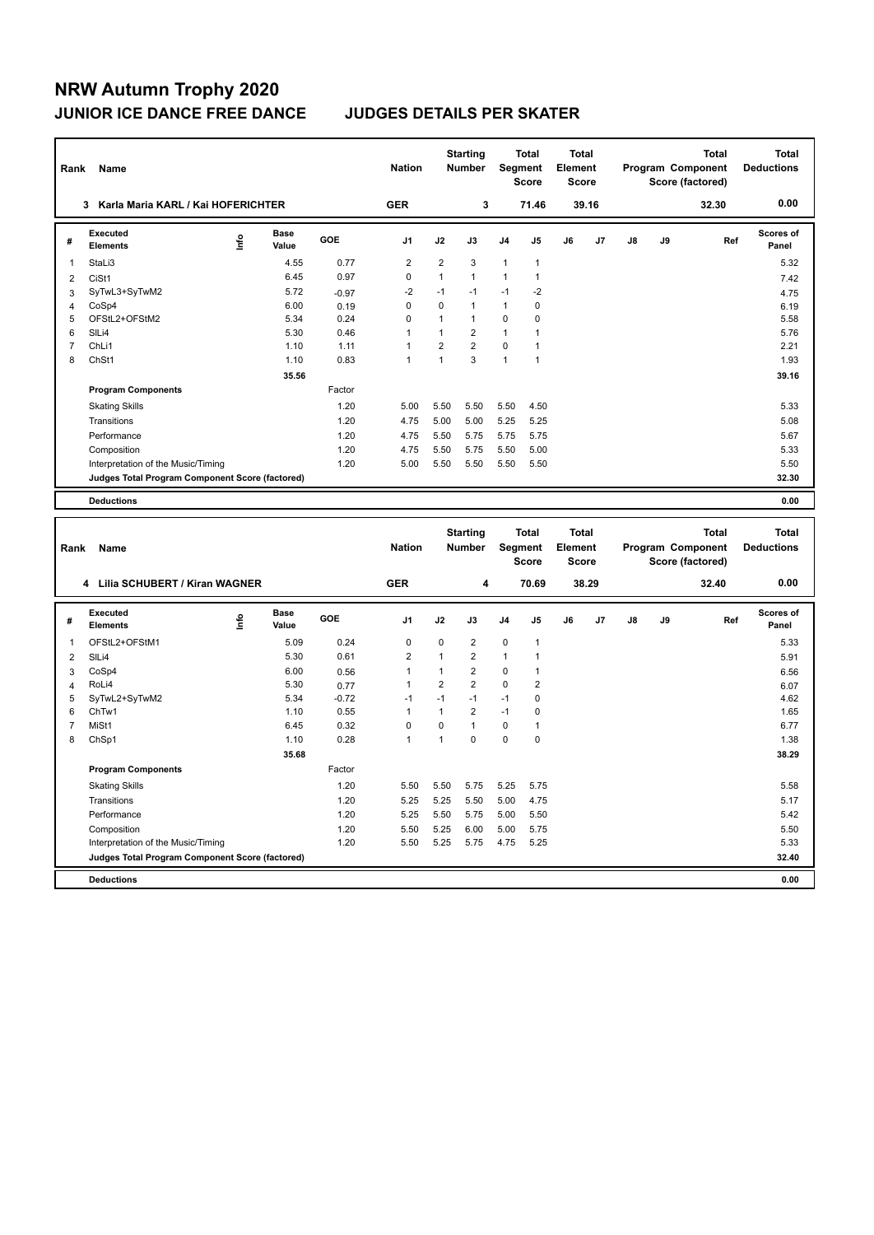# **NRW Autumn Trophy 2020 JUNIOR ICE DANCE FREE DANCE JUDGES DETAILS PER SKATER**

| Rank                    | Name                                                   |      |                      |              | <b>Nation</b>               |                   | <b>Starting</b><br>Number        |                            | <b>Total</b><br>Segment<br><b>Score</b> | <b>Total</b><br>Element<br><b>Score</b> |       |    |    | Program Component<br>Score (factored) | <b>Total</b> | <b>Total</b><br><b>Deductions</b> |
|-------------------------|--------------------------------------------------------|------|----------------------|--------------|-----------------------------|-------------------|----------------------------------|----------------------------|-----------------------------------------|-----------------------------------------|-------|----|----|---------------------------------------|--------------|-----------------------------------|
|                         | 3 Karla Maria KARL / Kai HOFERICHTER                   |      |                      |              | <b>GER</b>                  |                   | 3                                |                            | 71.46                                   |                                         | 39.16 |    |    | 32.30                                 |              | 0.00                              |
| #                       | Executed<br><b>Elements</b>                            | lnfo | <b>Base</b><br>Value | GOE          | J1                          | J2                | J3                               | J <sub>4</sub>             | J5                                      | J6                                      | J7    | J8 | J9 |                                       | Ref          | <b>Scores of</b><br>Panel         |
| $\mathbf{1}$            | StaLi3                                                 |      | 4.55                 | 0.77         | $\overline{2}$              | $\overline{2}$    | 3                                | $\mathbf{1}$               | $\mathbf{1}$                            |                                         |       |    |    |                                       |              | 5.32                              |
| $\overline{2}$          | CiSt1                                                  |      | 6.45                 | 0.97         | $\pmb{0}$                   | $\mathbf{1}$      | 1                                | $\mathbf{1}$               | $\mathbf{1}$                            |                                         |       |    |    |                                       |              | 7.42                              |
| 3                       | SyTwL3+SyTwM2                                          |      | 5.72                 | $-0.97$      | $-2$                        | $-1$              | $-1$                             | $-1$                       | $-2$                                    |                                         |       |    |    |                                       |              | 4.75                              |
| $\overline{4}$          | CoSp4                                                  |      | 6.00                 | 0.19         | $\mathbf 0$                 | $\mathbf 0$       | $\mathbf{1}$                     | $\mathbf{1}$               | $\mathbf 0$                             |                                         |       |    |    |                                       |              | 6.19                              |
| 5                       | OFStL2+OFStM2                                          |      | 5.34                 | 0.24         | $\mathbf 0$                 | $\mathbf{1}$      | $\mathbf{1}$                     | $\mathbf 0$                | $\pmb{0}$                               |                                         |       |    |    |                                       |              | 5.58                              |
| 6                       | SILi4                                                  |      | 5.30                 | 0.46         | $\overline{1}$              | $\mathbf{1}$      | $\overline{2}$                   | $\mathbf{1}$               | 1                                       |                                         |       |    |    |                                       |              | 5.76                              |
| $\overline{7}$          | ChLi1                                                  |      | 1.10                 | 1.11         | $\mathbf{1}$                | $\overline{2}$    | $\overline{2}$                   | $\mathbf 0$                | $\mathbf{1}$                            |                                         |       |    |    |                                       |              | 2.21                              |
| 8                       | ChSt1                                                  |      | 1.10                 | 0.83         | $\overline{1}$              | $\mathbf{1}$      | 3                                | $\overline{1}$             | $\mathbf{1}$                            |                                         |       |    |    |                                       |              | 1.93                              |
|                         |                                                        |      | 35.56                |              |                             |                   |                                  |                            |                                         |                                         |       |    |    |                                       |              | 39.16                             |
|                         | <b>Program Components</b>                              |      |                      | Factor       |                             |                   |                                  |                            |                                         |                                         |       |    |    |                                       |              |                                   |
|                         | <b>Skating Skills</b>                                  |      |                      | 1.20         | 5.00                        | 5.50              | 5.50                             | 5.50                       | 4.50                                    |                                         |       |    |    |                                       |              | 5.33                              |
|                         | Transitions                                            |      |                      | 1.20         | 4.75                        | 5.00              | 5.00                             | 5.25                       | 5.25                                    |                                         |       |    |    |                                       |              | 5.08                              |
|                         | Performance                                            |      |                      | 1.20         | 4.75                        | 5.50              | 5.75                             | 5.75                       | 5.75                                    |                                         |       |    |    |                                       |              | 5.67                              |
|                         | Composition                                            |      |                      | 1.20         | 4.75                        | 5.50              | 5.75                             | 5.50                       | 5.00                                    |                                         |       |    |    |                                       |              | 5.33                              |
|                         | Interpretation of the Music/Timing                     |      |                      | 1.20         | 5.00                        | 5.50              | 5.50                             | 5.50                       | 5.50                                    |                                         |       |    |    |                                       |              | 5.50                              |
|                         | Judges Total Program Component Score (factored)        |      |                      |              |                             |                   |                                  |                            |                                         |                                         |       |    |    |                                       |              | 32.30                             |
|                         | <b>Deductions</b>                                      |      |                      |              |                             |                   |                                  |                            |                                         |                                         |       |    |    |                                       |              | 0.00                              |
|                         |                                                        |      |                      |              |                             |                   |                                  |                            |                                         |                                         |       |    |    |                                       |              |                                   |
|                         |                                                        |      |                      |              |                             |                   |                                  |                            |                                         |                                         |       |    |    |                                       |              |                                   |
| Rank                    | Name                                                   |      |                      |              | <b>Nation</b>               |                   | <b>Starting</b><br><b>Number</b> |                            | <b>Total</b><br>Segment<br><b>Score</b> | <b>Total</b><br>Element<br><b>Score</b> |       |    |    | Program Component                     | <b>Total</b> | <b>Total</b><br><b>Deductions</b> |
|                         | 4 Lilia SCHUBERT / Kiran WAGNER                        |      |                      |              | <b>GER</b>                  |                   | 4                                |                            | 70.69                                   |                                         | 38.29 |    |    | Score (factored)<br>32.40             |              | 0.00                              |
| #                       | Executed<br><b>Elements</b>                            | ۴ů   | Base<br>Value        | GOE          | J1                          | J2                | J3                               | J <sub>4</sub>             | J5                                      | J6                                      | J7    | J8 | J9 |                                       | Ref          | <b>Scores of</b><br>Panel         |
|                         |                                                        |      |                      |              |                             |                   |                                  |                            |                                         |                                         |       |    |    |                                       |              |                                   |
| $\mathbf{1}$            | OFStL2+OFStM1                                          |      | 5.09                 | 0.24         | $\mathbf 0$                 | $\mathbf 0$       | $\overline{2}$                   | $\mathbf 0$                | $\mathbf{1}$                            |                                         |       |    |    |                                       |              | 5.33                              |
| $\overline{\mathbf{c}}$ | SILi4                                                  |      | 5.30                 | 0.61         | $\overline{2}$              | $\mathbf{1}$      | $\overline{2}$                   | $\overline{1}$             | 1                                       |                                         |       |    |    |                                       |              | 5.91                              |
| 3                       | CoSp4                                                  |      | 6.00                 | 0.56         | $\mathbf{1}$                | $\mathbf{1}$      | $\overline{2}$                   | 0                          | $\mathbf{1}$                            |                                         |       |    |    |                                       |              | 6.56                              |
| 4                       | RoLi4                                                  |      | 5.30                 | 0.77         | $\mathbf{1}$                | $\overline{2}$    | $\overline{2}$                   | $\mathbf 0$                | $\overline{2}$                          |                                         |       |    |    |                                       |              | 6.07                              |
| 5                       | SyTwL2+SyTwM2                                          |      | 5.34                 | $-0.72$      | $-1$                        | $-1$              | $-1$                             | $-1$                       | 0                                       |                                         |       |    |    |                                       |              | 4.62                              |
| 6                       | ChTw1                                                  |      | 1.10                 | 0.55         | $\mathbf{1}$                | $\mathbf{1}$      | $\overline{2}$                   | $-1$                       | 0                                       |                                         |       |    |    |                                       |              | 1.65                              |
| $\overline{7}$<br>8     | MiSt1<br>ChSp1                                         |      | 6.45<br>1.10         | 0.32<br>0.28 | $\pmb{0}$<br>$\overline{1}$ | 0<br>$\mathbf{1}$ | $\mathbf{1}$<br>0                | $\mathbf 0$<br>$\mathbf 0$ | $\mathbf{1}$<br>$\pmb{0}$               |                                         |       |    |    |                                       |              | 6.77<br>1.38                      |
|                         |                                                        |      |                      |              |                             |                   |                                  |                            |                                         |                                         |       |    |    |                                       |              |                                   |
|                         |                                                        |      | 35.68                |              |                             |                   |                                  |                            |                                         |                                         |       |    |    |                                       |              | 38.29                             |
|                         | <b>Program Components</b>                              |      |                      | Factor       |                             |                   |                                  |                            |                                         |                                         |       |    |    |                                       |              |                                   |
|                         | <b>Skating Skills</b>                                  |      |                      | 1.20         | 5.50                        | 5.50              | 5.75                             | 5.25                       | 5.75                                    |                                         |       |    |    |                                       |              | 5.58                              |
|                         | Transitions                                            |      |                      | 1.20         | 5.25                        | 5.25              | 5.50                             | 5.00                       | 4.75                                    |                                         |       |    |    |                                       |              | 5.17                              |
|                         | Performance                                            |      |                      | 1.20         | 5.25                        | 5.50              | 5.75                             | 5.00                       | 5.50                                    |                                         |       |    |    |                                       |              | 5.42                              |
|                         | Composition                                            |      |                      | 1.20         | 5.50                        | 5.25              | 6.00                             | 5.00                       | 5.75                                    |                                         |       |    |    |                                       |              | 5.50                              |
|                         | Interpretation of the Music/Timing                     |      |                      | 1.20         | 5.50                        | 5.25              | 5.75                             | 4.75                       | 5.25                                    |                                         |       |    |    |                                       |              | 5.33                              |
|                         | <b>Judges Total Program Component Score (factored)</b> |      |                      |              |                             |                   |                                  |                            |                                         |                                         |       |    |    |                                       |              | 32.40<br>0.00                     |